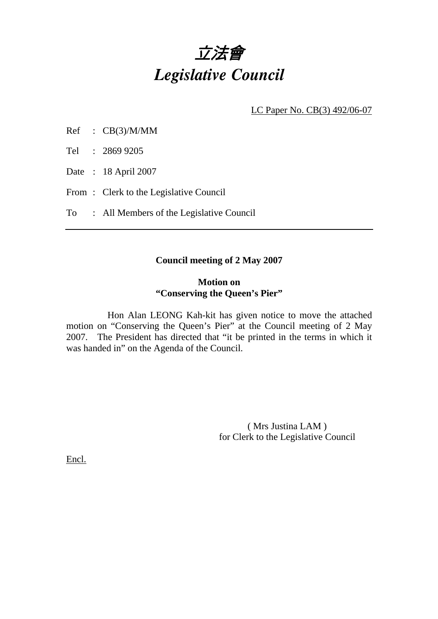

LC Paper No. CB(3) 492/06-07

Tel : 2869 9205

Date : 18 April 2007

From : Clerk to the Legislative Council

To : All Members of the Legislative Council

## **Council meeting of 2 May 2007**

## **Motion on "Conserving the Queen's Pier"**

 Hon Alan LEONG Kah-kit has given notice to move the attached motion on "Conserving the Queen's Pier" at the Council meeting of 2 May 2007. The President has directed that "it be printed in the terms in which it was handed in" on the Agenda of the Council.

> ( Mrs Justina LAM ) for Clerk to the Legislative Council

Encl.